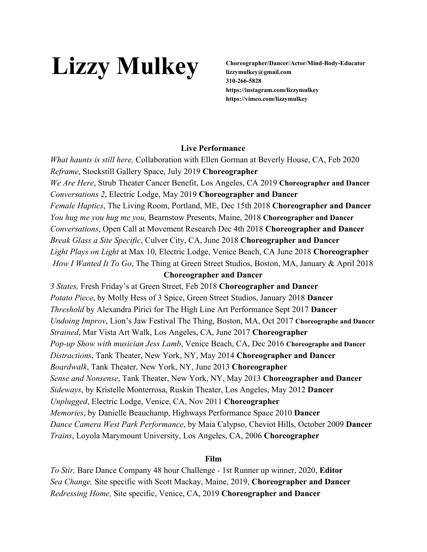# Lizzy Mulkey **Choreographer/Dancer/Actor/Mind-Body-Educator**

**lizzymulkey@gmail.com 310-266-5828 https://instagram.com/lizzymulkey https://vimeo.com/lizzymulkey**

## **Live Performance**

*What haunts is still here,* Collaboration with Ellen Gorman at Beverly House, CA, Feb 2020 *Reframe*, Stockstill Gallery Space, July 2019 **Choreographer** *We Are Here*, Strub Theater Cancer Benefit, Los Angeles, CA 2019 **Choreographer and Dancer** *Conversations 2*, Electric Lodge, May 2019 **Choreographer and Dancer** *Female Haptics*, The Living Room, Portland, ME, Dec 15th 2018 **Choreographer and Dancer** *You hug me you hug me you,* Bearnstow Presents, Maine, 2018 **Choreographer and Dancer** *Conversations*, Open Call at Movement Research Dec 4th 2018 **Choreographer and Dancer** *Break Glass a Site Specific*, Culver City, CA, June 2018 **Choreographer and Dancer** *Light Plays on Light* at Max 10, Electric Lodge, Venice Beach, CA June 2018 **Choreographer** *How I Wanted It To Go*, The Thing at Green Street Studios, Boston, MA, January & April 2018

## **Choreographer and Dancer**

*3 States,* Fresh Friday's at Green Street, Feb 2018 **Choreographer and Dancer** *Potato Piece*, by Molly Hess of 3 Spice, Green Street Studios, January 2018 **Dancer** *Threshold* by Alexandra Pirici for The High Line Art Performance Sept 2017 **Dancer** *Undoing Improv*, Lion's Jaw Festival The Thing, Boston, MA, Oct 2017 **Choreographe and Dancer** *Strained*, Mar Vista Art Walk, Los Angeles, CA, June 2017 **Choreographer** *Pop-up Show with musician Jess Lamb*, Venice Beach, CA, Dec 2016 **Choreographe and Dancer** *Distractions*, Tank Theater, New York, NY, May 2014 **Choreographer and Dancer** *Boardwalk*, Tank Theater, New York, NY, June 2013 **Choreographer** *Sense and Nonsense*, Tank Theater, New York, NY, May 2013 **Choreographer and Dancer** *Sideways*, by Kristelle Monterrosa, Ruskin Theater, Los Angeles, May 2012 **Dancer** *Unplugged*, Electric Lodge, Venice, CA, Nov 2011 **Choreographer** *Memories*, by Danielle Beauchamp, Highways Performance Space 2010 **Dancer** *Dance Camera West Park Performance*, by Maia Calypso, Cheviot Hills, October 2009 **Dancer** *Trains*, Loyola Marymount University, Los Angeles, CA, 2006 **Choreographer**

## **Film**

*To Stir,* Bare Dance Company 48 hour Challenge - 1st Runner up winner, 2020, **Editor** *Sea Change,* Site specific with Scott Mackay, Maine, 2019, **Choreographer and Dancer** *Redressing Home,* Site specific, Venice, CA, 2019 **Choreographer and Dancer**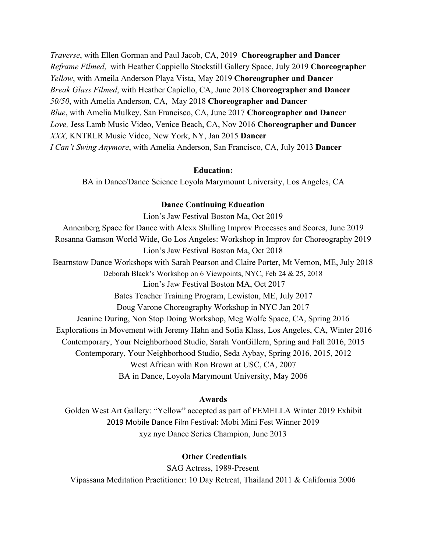*Traverse*, with Ellen Gorman and Paul Jacob, CA, 2019 **Choreographer and Dancer** *Reframe Filmed*, with Heather Cappiello Stockstill Gallery Space, July 2019 **Choreographer** *Yellow*, with Ameila Anderson Playa Vista, May 2019 **Choreographer and Dancer** *Break Glass Filmed*, with Heather Capiello, CA, June 2018 **Choreographer and Dancer** *50/50*, with Amelia Anderson, CA, May 2018 **Choreographer and Dancer** *Blue*, with Amelia Mulkey, San Francisco, CA, June 2017 **Choreographer and Dancer** *Love,* Jess Lamb Music Video, Venice Beach, CA, Nov 2016 **Choreographer and Dancer** *XXX,* KNTRLR Music Video, New York, NY, Jan 2015 **Dancer** *I Can't Swing Anymore*, with Amelia Anderson, San Francisco, CA, July 2013 **Dancer**

### **Education:**

BA in Dance/Dance Science Loyola Marymount University, Los Angeles, CA

## **Dance Continuing Education**

Lion's Jaw Festival Boston Ma, Oct 2019 Annenberg Space for Dance with Alexx Shilling Improv Processes and Scores, June 2019 Rosanna Gamson World Wide, Go Los Angeles: Workshop in Improv for Choreography 2019 Lion's Jaw Festival Boston Ma, Oct 2018 Bearnstow Dance Workshops with Sarah Pearson and Claire Porter, Mt Vernon, ME, July 2018 Deborah Black's Workshop on 6 Viewpoints, NYC, Feb 24 & 25, 2018 Lion's Jaw Festival Boston MA, Oct 2017 Bates Teacher Training Program, Lewiston, ME, July 2017 Doug Varone Choreography Workshop in NYC Jan 2017 Jeanine During, Non Stop Doing Workshop, Meg Wolfe Space, CA, Spring 2016 Explorations in Movement with Jeremy Hahn and Sofia Klass, Los Angeles, CA, Winter 2016 Contemporary, Your Neighborhood Studio, Sarah VonGillern, Spring and Fall 2016, 2015 Contemporary, Your Neighborhood Studio, Seda Aybay, Spring 2016, 2015, 2012 West African with Ron Brown at USC, CA, 2007 BA in Dance, Loyola Marymount University, May 2006

#### **Awards**

Golden West Art Gallery: "Yellow" accepted as part of FEMELLA Winter 2019 Exhibit 2019 Mobile Dance Film Festival: Mobi Mini Fest Winner 2019 xyz nyc Dance Series Champion, June 2013

#### **Other Credentials**

SAG Actress, 1989-Present Vipassana Meditation Practitioner: 10 Day Retreat, Thailand 2011 & California 2006